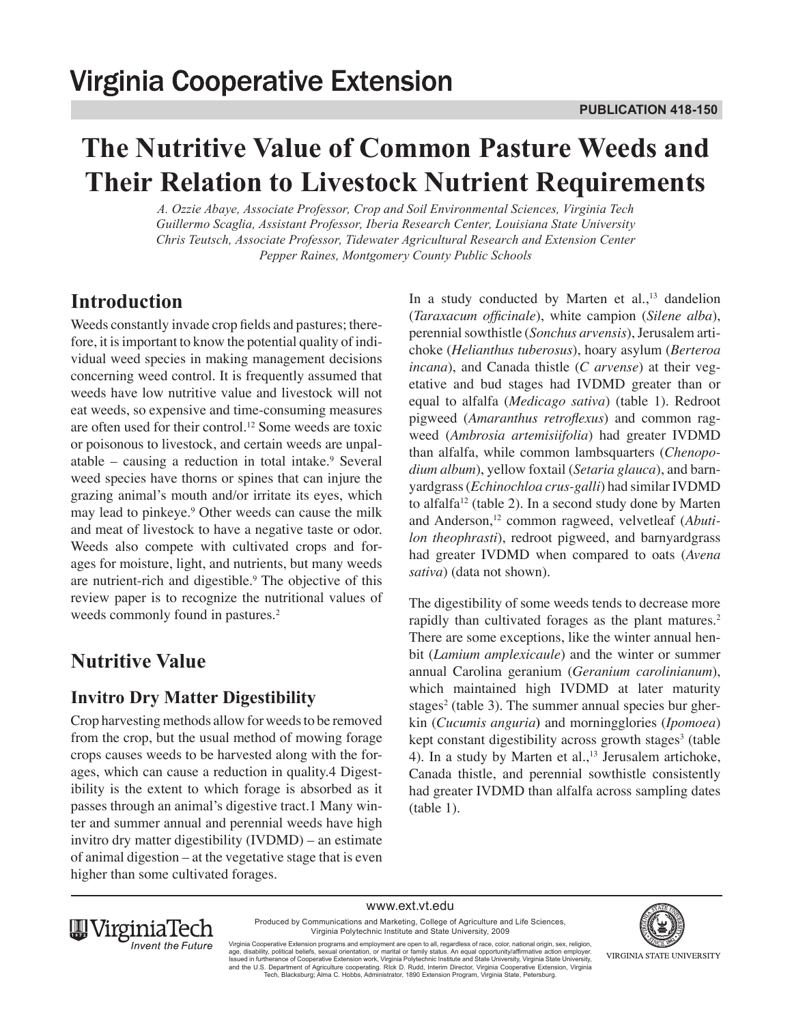# **The Nutritive Value of Common Pasture Weeds and Their Relation to Livestock Nutrient Requirements**

*A. Ozzie Abaye, Associate Professor, Crop and Soil Environmental Sciences, Virginia Tech Guillermo Scaglia, Assistant Professor, Iberia Research Center, Louisiana State University Chris Teutsch, Associate Professor, Tidewater Agricultural Research and Extension Center Pepper Raines, Montgomery County Public Schools*

## **Introduction**

Weeds constantly invade crop fields and pastures; therefore, it is important to know the potential quality of individual weed species in making management decisions concerning weed control. It is frequently assumed that weeds have low nutritive value and livestock will not eat weeds, so expensive and time-consuming measures are often used for their control.12 Some weeds are toxic or poisonous to livestock, and certain weeds are unpalatable  $-$  causing a reduction in total intake.<sup>9</sup> Several weed species have thorns or spines that can injure the grazing animal's mouth and/or irritate its eyes, which may lead to pinkeye.<sup>9</sup> Other weeds can cause the milk and meat of livestock to have a negative taste or odor. Weeds also compete with cultivated crops and forages for moisture, light, and nutrients, but many weeds are nutrient-rich and digestible.<sup>9</sup> The objective of this review paper is to recognize the nutritional values of weeds commonly found in pastures.<sup>2</sup>

# **Nutritive Value**

### **Invitro Dry Matter Digestibility**

Crop harvesting methods allow for weeds to be removed from the crop, but the usual method of mowing forage crops causes weeds to be harvested along with the forages, which can cause a reduction in quality.4 Digestibility is the extent to which forage is absorbed as it passes through an animal's digestive tract.1 Many winter and summer annual and perennial weeds have high invitro dry matter digestibility (IVDMD) – an estimate of animal digestion – at the vegetative stage that is even higher than some cultivated forages.

In a study conducted by Marten et al., $13$  dandelion (*Taraxacum officinale*), white campion (*Silene alba*), perennial sowthistle (*Sonchus arvensis*), Jerusalem artichoke (*Helianthus tuberosus*), hoary asylum (*Berteroa incana*), and Canada thistle (*C arvense*) at their vegetative and bud stages had IVDMD greater than or equal to alfalfa (*Medicago sativa*) (table 1). Redroot pigweed (*Amaranthus retroflexus*) and common ragweed (*Ambrosia artemisiifolia*) had greater IVDMD than alfalfa, while common lambsquarters (*Chenopodium album*), yellow foxtail (*Setaria glauca*), and barnyardgrass (*Echinochloa crus-galli*) had similar IVDMD to alfalfa12 (table 2). In a second study done by Marten and Anderson,12 common ragweed, velvetleaf (*Abutilon theophrasti*), redroot pigweed, and barnyardgrass had greater IVDMD when compared to oats (*Avena sativa*) (data not shown).

The digestibility of some weeds tends to decrease more rapidly than cultivated forages as the plant matures.<sup>2</sup> There are some exceptions, like the winter annual henbit (*Lamium amplexicaule*) and the winter or summer annual Carolina geranium (*Geranium carolinianum*), which maintained high IVDMD at later maturity stages<sup>2</sup> (table 3). The summer annual species bur gherkin (*Cucumis anguria***)** and morningglories (*Ipomoea*) kept constant digestibility across growth stages<sup>3</sup> (table 4). In a study by Marten et al., $^{13}$  Jerusalem artichoke, Canada thistle, and perennial sowthistle consistently had greater IVDMD than alfalfa across sampling dates (table 1).

www.ext.vt.edu



Produced by Communications and Marketing, College of Agriculture and Life Sciences, Virginia Polytechnic Institute and State University, 2009

Virginia Cooperative Extension programs and employment are open to all, regardless of race, color, national origin, sex, religion,<br>age, disability, political beliefs, sexual orientation, or marital or family status. An equ and the U.S. Department of Agriculture cooperating. RIck D. Rudd, Interim Director, Virginia Cooperative Extension, Virginia<br>Tech, Blacksburg; Alma C. Hobbs, Administrator, 1890 Extension Program, Virginia State, Petersbur

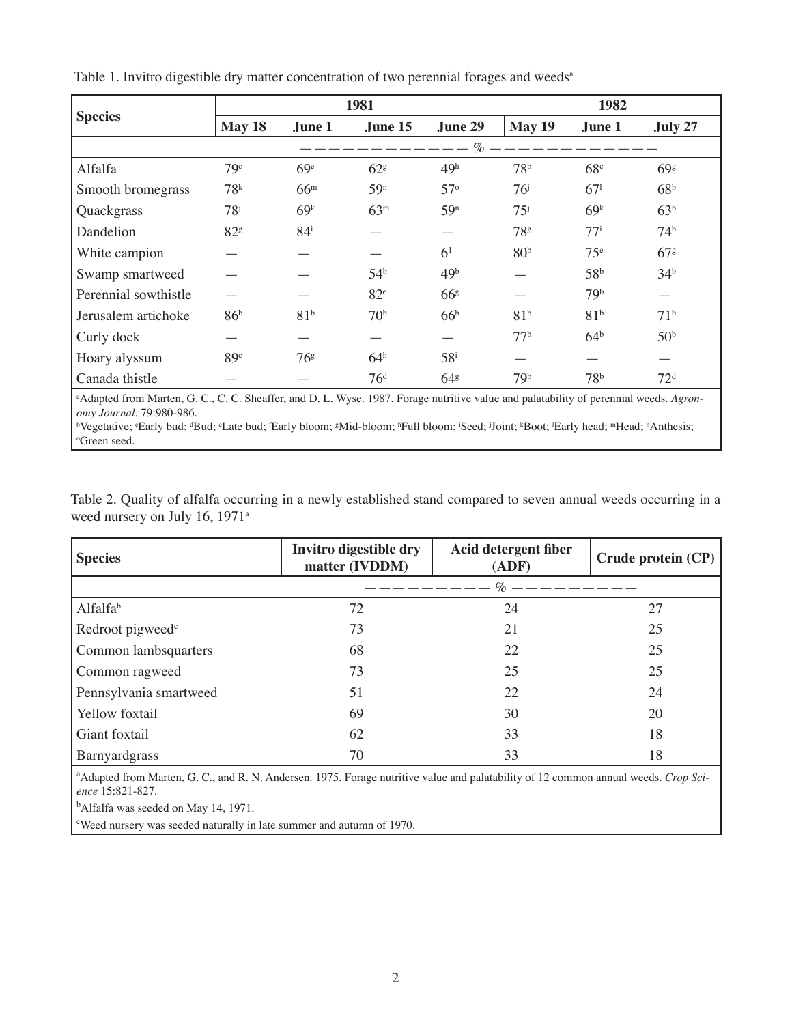| <b>Species</b>       |                   | 1981              |                 |                 |                   | 1982            |                 |  |  |
|----------------------|-------------------|-------------------|-----------------|-----------------|-------------------|-----------------|-----------------|--|--|
|                      | May 18            | June 1            | June 15         | June 29         | May 19            | June 1          | July 27         |  |  |
|                      |                   |                   |                 | $\mathcal{O}_0$ |                   |                 |                 |  |  |
| Alfalfa              | 79c               | 69 <sup>e</sup>   | 62 <sup>g</sup> | 49 <sup>h</sup> | 78 <sup>b</sup>   | 68 <sup>c</sup> | 69 <sup>g</sup> |  |  |
| Smooth bromegrass    | 78 <sup>k</sup>   | 66 <sup>m</sup>   | 59 <sup>n</sup> | $57^\circ$      | 76 <sup>j</sup>   | 67 <sup>1</sup> | 68 <sup>b</sup> |  |  |
| Quackgrass           | $78^{\mathrm{j}}$ | 69 <sup>k</sup>   | 63 <sup>m</sup> | 59 <sup>n</sup> | $75^{\mathrm{i}}$ | 69 <sup>k</sup> | 63 <sup>b</sup> |  |  |
| Dandelion            | 82 <sup>g</sup>   | $84^{\mathrm{i}}$ |                 |                 | 78 <sup>g</sup>   | $77^{\rm i}$    | 74 <sup>b</sup> |  |  |
| White campion        |                   |                   |                 | 6 <sup>1</sup>  | 80 <sup>b</sup>   | $75^{\circ}$    | 67 <sup>g</sup> |  |  |
| Swamp smartweed      |                   |                   | 54 <sup>b</sup> | 49 <sup>b</sup> |                   | 58 <sup>b</sup> | 34 <sup>b</sup> |  |  |
| Perennial sowthistle |                   |                   | 82 <sup>e</sup> | 66 <sup>g</sup> |                   | 79 <sup>b</sup> |                 |  |  |
| Jerusalem artichoke  | 86 <sup>b</sup>   | 81 <sup>b</sup>   | 70 <sup>b</sup> | 66 <sup>b</sup> | 81 <sup>b</sup>   | 81 <sup>b</sup> | 71 <sup>b</sup> |  |  |
| Curly dock           |                   |                   |                 |                 | 77 <sup>b</sup>   | 64 <sup>b</sup> | 50 <sup>b</sup> |  |  |
| Hoary alyssum        | 89 <sup>c</sup>   | 76 <sup>g</sup>   | 64 <sup>h</sup> | $58^{\rm i}$    |                   |                 |                 |  |  |
| Canada thistle       |                   |                   | 76 <sup>d</sup> | 64 <sup>g</sup> | 79 <sup>b</sup>   | 78 <sup>b</sup> | 72 <sup>d</sup> |  |  |

Table 1. Invitro digestible dry matter concentration of two perennial forages and weeds<sup>a</sup>

a Adapted from Marten, G. C., C. C. Sheaffer, and D. L. Wyse. 1987. Forage nutritive value and palatability of perennial weeds. *Agronomy Journal*. 79:980-986.

bVegetative; 'Early bud; 'Bud; 'Late bud; 'Early bloom; 'Mid-bloom; 'Full bloom; 'Seed; Joint; 'Boot; 'Early head; "Head; "Anthesis; o Green seed.

Table 2. Quality of alfalfa occurring in a newly established stand compared to seven annual weeds occurring in a weed nursery on July 16, 1971<sup>a</sup>

| <b>Species</b>               | Invitro digestible dry<br>matter (IVDDM) | <b>Acid detergent fiber</b><br>(ADF) | Crude protein (CP) |
|------------------------------|------------------------------------------|--------------------------------------|--------------------|
|                              |                                          | $\%$                                 |                    |
| Alfalfa <sup>b</sup>         | 72                                       | 24                                   | 27                 |
| Redroot pigweed <sup>c</sup> | 73                                       | 21                                   | 25                 |
| Common lambsquarters         | 68                                       | 22                                   | 25                 |
| Common ragweed               | 73                                       | 25                                   | 25                 |
| Pennsylvania smartweed       | 51                                       | 22                                   | 24                 |
| Yellow foxtail               | 69                                       | 30                                   | 20                 |
| Giant foxtail                | 62                                       | 33                                   | 18                 |
| Barnyardgrass                | 70                                       | 33                                   | 18                 |

<sup>a</sup> Adapted from Marten, G. C., and R. N. Andersen. 1975. Forage nutritive value and palatability of 12 common annual weeds. *Crop Science* 15:821-827.

<sup>b</sup>Alfalfa was seeded on May 14, 1971.

c Weed nursery was seeded naturally in late summer and autumn of 1970.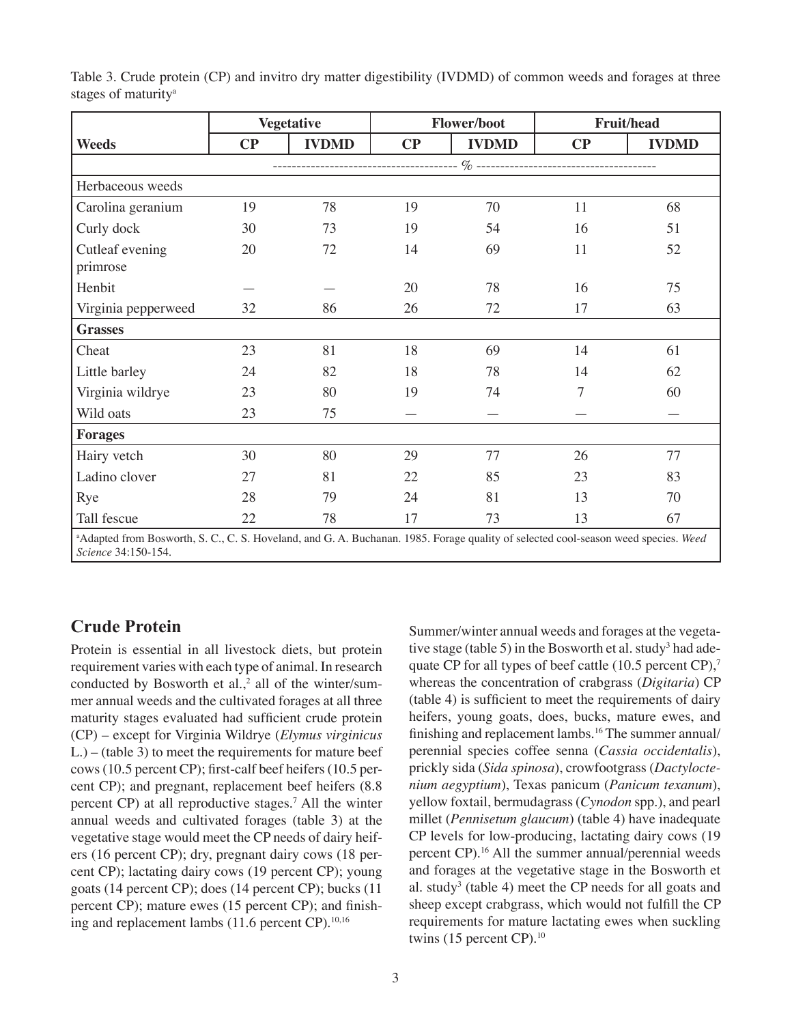|          |              | <b>Flower/boot</b> |              |          | <b>Fruit/head</b>                                                                                                                                                                      |
|----------|--------------|--------------------|--------------|----------|----------------------------------------------------------------------------------------------------------------------------------------------------------------------------------------|
| $\bf CP$ | <b>IVDMD</b> | $\bf CP$           | <b>IVDMD</b> | $\bf CP$ | <b>IVDMD</b>                                                                                                                                                                           |
|          |              |                    |              |          |                                                                                                                                                                                        |
|          |              |                    |              |          |                                                                                                                                                                                        |
| 19       | 78           | 19                 | 70           | 11       | 68                                                                                                                                                                                     |
| 30       | 73           | 19                 | 54           | 16       | 51                                                                                                                                                                                     |
| 20       | 72           | 14                 | 69           | 11       | 52                                                                                                                                                                                     |
|          |              | 20                 | 78           | 16       | 75                                                                                                                                                                                     |
| 32       | 86           | 26                 | 72           | 17       | 63                                                                                                                                                                                     |
|          |              |                    |              |          |                                                                                                                                                                                        |
| 23       | 81           | 18                 | 69           | 14       | 61                                                                                                                                                                                     |
| 24       | 82           | 18                 | 78           | 14       | 62                                                                                                                                                                                     |
| 23       | 80           | 19                 | 74           | 7        | 60                                                                                                                                                                                     |
| 23       | 75           |                    |              |          |                                                                                                                                                                                        |
|          |              |                    |              |          |                                                                                                                                                                                        |
| 30       | 80           | 29                 | 77           | 26       | 77                                                                                                                                                                                     |
| 27       | 81           | 22                 | 85           | 23       | 83                                                                                                                                                                                     |
| 28       | 79           | 24                 | 81           | 13       | 70                                                                                                                                                                                     |
| 22       | 78           | 17                 | 73           | 13       | 67                                                                                                                                                                                     |
|          |              | <b>Vegetative</b>  |              |          | $\mathbf{A}$ dented from Demand, $\mathbf{C} \cap \mathbf{C} \cap \mathbf{C}$ Heritagh and $\mathbf{C} \cap \mathbf{A}$ Declared 1005. Equation and the feedback dented according that |

Table 3. Crude protein (CP) and invitro dry matter digestibility (IVDMD) of common weeds and forages at three stages of maturity<sup>a</sup>

a Adapted from Bosworth, S. C., C. S. Hoveland, and G. A. Buchanan. 1985. Forage quality of selected cool-season weed species. *Weed Science* 34:150-154.

#### **Crude Protein**

Protein is essential in all livestock diets, but protein requirement varies with each type of animal. In research conducted by Bosworth et al., $<sup>2</sup>$  all of the winter/sum-</sup> mer annual weeds and the cultivated forages at all three maturity stages evaluated had sufficient crude protein (CP) – except for Virginia Wildrye (*Elymus virginicus* L.) – (table 3) to meet the requirements for mature beef cows (10.5 percent CP); first-calf beef heifers (10.5 percent CP); and pregnant, replacement beef heifers (8.8 percent CP) at all reproductive stages.<sup>7</sup> All the winter annual weeds and cultivated forages (table 3) at the vegetative stage would meet the CP needs of dairy heifers (16 percent CP); dry, pregnant dairy cows (18 percent CP); lactating dairy cows (19 percent CP); young goats (14 percent CP); does (14 percent CP); bucks (11 percent CP); mature ewes (15 percent CP); and finishing and replacement lambs  $(11.6 \text{ percent CP})$ .<sup>10,16</sup>

Summer/winter annual weeds and forages at the vegetative stage (table 5) in the Bosworth et al. study<sup>3</sup> had adequate CP for all types of beef cattle (10.5 percent CP),<sup>7</sup> whereas the concentration of crabgrass (*Digitaria*) CP (table 4) is sufficient to meet the requirements of dairy heifers, young goats, does, bucks, mature ewes, and finishing and replacement lambs.<sup>16</sup> The summer annual/ perennial species coffee senna (*Cassia occidentalis*), prickly sida (*Sida spinosa*), crowfootgrass (*Dactyloctenium aegyptium*), Texas panicum (*Panicum texanum*), yellow foxtail, bermudagrass (*Cynodon* spp.), and pearl millet (*Pennisetum glaucum*) (table 4) have inadequate CP levels for low-producing, lactating dairy cows (19 percent CP).<sup>16</sup> All the summer annual/perennial weeds and forages at the vegetative stage in the Bosworth et al. study<sup>3</sup> (table 4) meet the CP needs for all goats and sheep except crabgrass, which would not fulfill the CP requirements for mature lactating ewes when suckling twins  $(15$  percent CP $)^{10}$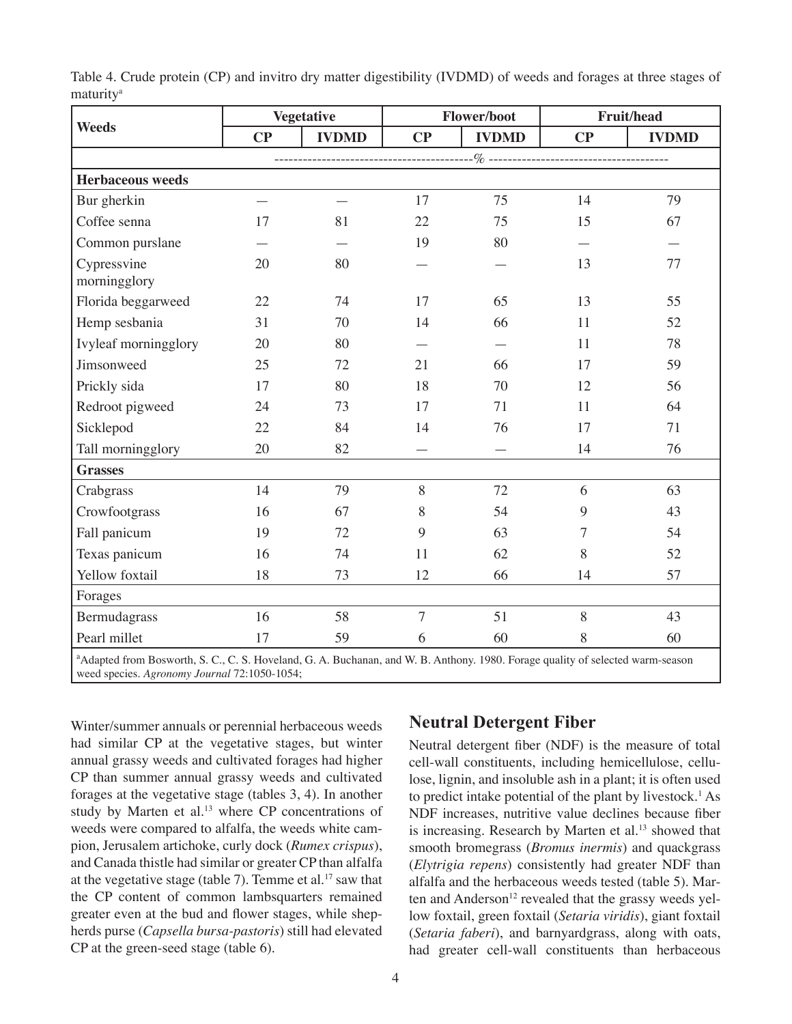|                                                                                                                                            |          | <b>Vegetative</b> |                | Flower/boot  |          | Fruit/head   |  |  |
|--------------------------------------------------------------------------------------------------------------------------------------------|----------|-------------------|----------------|--------------|----------|--------------|--|--|
| <b>Weeds</b>                                                                                                                               | $\bf CP$ | <b>IVDMD</b>      | $\bf CP$       | <b>IVDMD</b> | $\bf CP$ | <b>IVDMD</b> |  |  |
|                                                                                                                                            |          |                   |                |              |          |              |  |  |
| <b>Herbaceous weeds</b>                                                                                                                    |          |                   |                |              |          |              |  |  |
| Bur gherkin                                                                                                                                |          |                   | 17             | 75           | 14       | 79           |  |  |
| Coffee senna                                                                                                                               | 17       | 81                | 22             | 75           | 15       | 67           |  |  |
| Common purslane                                                                                                                            |          |                   | 19             | 80           |          |              |  |  |
| Cypressvine<br>morningglory                                                                                                                | 20       | 80                |                |              | 13       | 77           |  |  |
| Florida beggarweed                                                                                                                         | 22       | 74                | 17             | 65           | 13       | 55           |  |  |
| Hemp sesbania                                                                                                                              | 31       | 70                | 14             | 66           | 11       | 52           |  |  |
| Ivyleaf morningglory                                                                                                                       | 20       | 80                |                |              | 11       | 78           |  |  |
| Jimsonweed                                                                                                                                 | 25       | 72                | 21             | 66           | 17       | 59           |  |  |
| Prickly sida                                                                                                                               | 17       | 80                | 18             | 70           | 12       | 56           |  |  |
| Redroot pigweed                                                                                                                            | 24       | 73                | 17             | 71           | 11       | 64           |  |  |
| Sicklepod                                                                                                                                  | 22       | 84                | 14             | 76           | 17       | 71           |  |  |
| Tall morningglory                                                                                                                          | 20       | 82                |                |              | 14       | 76           |  |  |
| <b>Grasses</b>                                                                                                                             |          |                   |                |              |          |              |  |  |
| Crabgrass                                                                                                                                  | 14       | 79                | $8\,$          | 72           | 6        | 63           |  |  |
| Crowfootgrass                                                                                                                              | 16       | 67                | 8              | 54           | 9        | 43           |  |  |
| Fall panicum                                                                                                                               | 19       | 72                | 9              | 63           | 7        | 54           |  |  |
| Texas panicum                                                                                                                              | 16       | 74                | 11             | 62           | 8        | 52           |  |  |
| Yellow foxtail                                                                                                                             | 18       | 73                | 12             | 66           | 14       | 57           |  |  |
| Forages                                                                                                                                    |          |                   |                |              |          |              |  |  |
| Bermudagrass                                                                                                                               | 16       | 58                | $\overline{7}$ | 51           | 8        | 43           |  |  |
| Pearl millet                                                                                                                               | 17       | 59                | 6              | 60           | 8        | 60           |  |  |
| <sup>a</sup> Adapted from Bosworth, S. C., C. S. Hoveland, G. A. Buchanan, and W. B. Anthony. 1980. Forage quality of selected warm-season |          |                   |                |              |          |              |  |  |

Table 4. Crude protein (CP) and invitro dry matter digestibility (IVDMD) of weeds and forages at three stages of maturity<sup>a</sup>

weed species. *Agronomy Journal* 72:1050-1054;

Winter/summer annuals or perennial herbaceous weeds had similar CP at the vegetative stages, but winter annual grassy weeds and cultivated forages had higher CP than summer annual grassy weeds and cultivated forages at the vegetative stage (tables 3, 4). In another study by Marten et al.<sup>13</sup> where CP concentrations of weeds were compared to alfalfa, the weeds white campion, Jerusalem artichoke, curly dock (*Rumex crispus*), and Canada thistle had similar or greater CP than alfalfa at the vegetative stage (table 7). Temme et al.<sup>17</sup> saw that the CP content of common lambsquarters remained greater even at the bud and flower stages, while shepherds purse (*Capsella bursa-pastoris*) still had elevated CP at the green-seed stage (table 6).

#### **Neutral Detergent Fiber**

Neutral detergent fiber (NDF) is the measure of total cell-wall constituents, including hemicellulose, cellulose, lignin, and insoluble ash in a plant; it is often used to predict intake potential of the plant by livestock.<sup>1</sup> As NDF increases, nutritive value declines because fiber is increasing. Research by Marten et al.<sup>13</sup> showed that smooth bromegrass (*Bromus inermis*) and quackgrass (*Elytrigia repens*) consistently had greater NDF than alfalfa and the herbaceous weeds tested (table 5). Marten and Anderson<sup>12</sup> revealed that the grassy weeds yellow foxtail, green foxtail (*Setaria viridis*), giant foxtail (*Setaria faberi*), and barnyardgrass, along with oats, had greater cell-wall constituents than herbaceous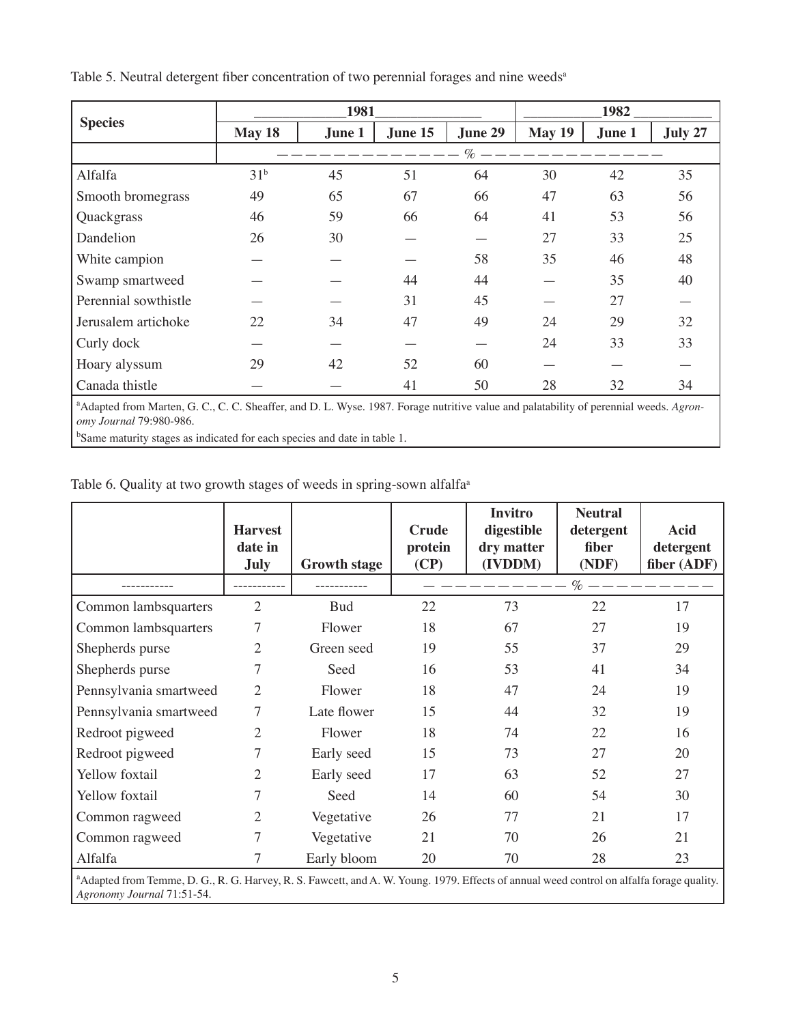|                      |                 | 1982   |         |         |               |        |         |
|----------------------|-----------------|--------|---------|---------|---------------|--------|---------|
| <b>Species</b>       | May 18          | June 1 | June 15 | June 29 | <b>May 19</b> | June 1 | July 27 |
|                      |                 |        |         | $\%$    |               |        |         |
| Alfalfa              | 31 <sup>b</sup> | 45     | 51      | 64      | 30            | 42     | 35      |
| Smooth bromegrass    | 49              | 65     | 67      | 66      | 47            | 63     | 56      |
| Quackgrass           | 46              | 59     | 66      | 64      | 41            | 53     | 56      |
| Dandelion            | 26              | 30     |         |         | 27            | 33     | 25      |
| White campion        |                 |        |         | 58      | 35            | 46     | 48      |
| Swamp smartweed      |                 |        | 44      | 44      |               | 35     | 40      |
| Perennial sowthistle |                 |        | 31      | 45      |               | 27     |         |
| Jerusalem artichoke  | 22              | 34     | 47      | 49      | 24            | 29     | 32      |
| Curly dock           |                 |        |         |         | 24            | 33     | 33      |
| Hoary alyssum        | 29              | 42     | 52      | 60      |               |        |         |
| Canada thistle       |                 |        | 41      | 50      | 28            | 32     | 34      |

Table 5. Neutral detergent fiber concentration of two perennial forages and nine weeds<sup>a</sup>

<sup>a</sup> Adapted from Marten, G. C., C. C. Sheaffer, and D. L. Wyse. 1987. Forage nutritive value and palatability of perennial weeds. Agron*omy Journal* 79:980-986.

<sup>b</sup>Same maturity stages as indicated for each species and date in table 1.

Table 6. Quality at two growth stages of weeds in spring-sown alfalfa<sup>a</sup>

|                                                                                                                                                       | <b>Harvest</b><br>date in<br>July | <b>Growth stage</b> | <b>Crude</b><br>protein<br>(CP) | <b>Invitro</b><br>digestible<br>dry matter<br>(IVDDM) | <b>Neutral</b><br>detergent<br>fiber<br>(NDF) | <b>Acid</b><br>detergent<br>fiber (ADF) |  |  |
|-------------------------------------------------------------------------------------------------------------------------------------------------------|-----------------------------------|---------------------|---------------------------------|-------------------------------------------------------|-----------------------------------------------|-----------------------------------------|--|--|
|                                                                                                                                                       |                                   |                     |                                 |                                                       | $\%$ — —                                      |                                         |  |  |
| Common lambsquarters                                                                                                                                  | $\overline{2}$                    | <b>Bud</b>          | 22                              | 73                                                    | 22                                            | 17                                      |  |  |
| Common lambsquarters                                                                                                                                  | 7                                 | Flower              | 18                              | 67                                                    | 27                                            | 19                                      |  |  |
| Shepherds purse                                                                                                                                       | 2                                 | Green seed          | 19                              | 55                                                    | 37                                            | 29                                      |  |  |
| Shepherds purse                                                                                                                                       | 7                                 | Seed                | 16                              | 53                                                    | 41                                            | 34                                      |  |  |
| Pennsylvania smartweed                                                                                                                                | 2                                 | Flower              | 18                              | 47                                                    | 24                                            | 19                                      |  |  |
| Pennsylvania smartweed                                                                                                                                | 7                                 | Late flower         | 15                              | 44                                                    | 32                                            | 19                                      |  |  |
| Redroot pigweed                                                                                                                                       | $\mathfrak{2}$                    | Flower              | 18                              | 74                                                    | 22                                            | 16                                      |  |  |
| Redroot pigweed                                                                                                                                       | 7                                 | Early seed          | 15                              | 73                                                    | 27                                            | 20                                      |  |  |
| Yellow foxtail                                                                                                                                        | 2                                 | Early seed          | 17                              | 63                                                    | 52                                            | 27                                      |  |  |
| Yellow foxtail                                                                                                                                        | 7                                 | Seed                | 14                              | 60                                                    | 54                                            | 30                                      |  |  |
| Common ragweed                                                                                                                                        | 2                                 | Vegetative          | 26                              | 77                                                    | 21                                            | 17                                      |  |  |
| Common ragweed                                                                                                                                        | 7                                 | Vegetative          | 21                              | 70                                                    | 26                                            | 21                                      |  |  |
| Alfalfa                                                                                                                                               | 7                                 | Early bloom         | 20                              | 70                                                    | 28                                            | 23                                      |  |  |
| <sup>a</sup> Adapted from Temme, D. G., R. G. Harvey, R. S. Fawcett, and A. W. Young. 1979. Effects of annual weed control on alfalfa forage quality. |                                   |                     |                                 |                                                       |                                               |                                         |  |  |

Adapted from Temme, D. G., R. G. Harvey, R. S. Fawcett, and A. W. Young. 1979. Effects of annual weed control on alfalfa forage quality. *Agronomy Journal* 71:51-54.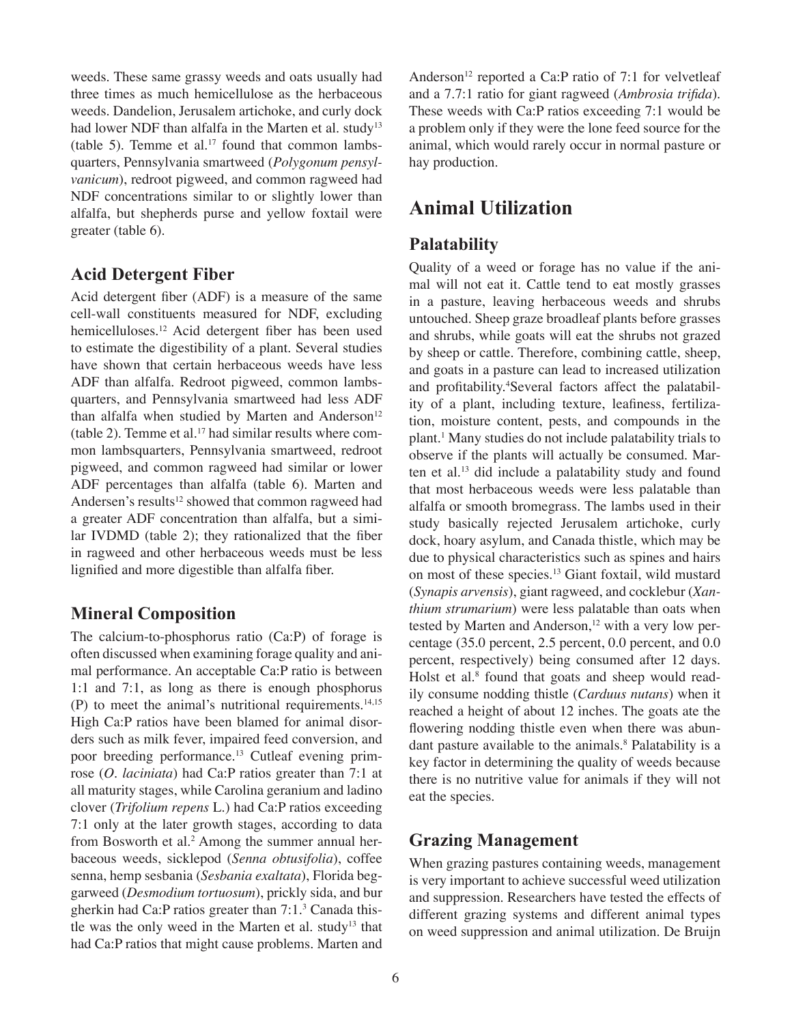weeds. These same grassy weeds and oats usually had three times as much hemicellulose as the herbaceous weeds. Dandelion, Jerusalem artichoke, and curly dock had lower NDF than alfalfa in the Marten et al. study<sup>13</sup> (table 5). Temme et al. $17$  found that common lambsquarters, Pennsylvania smartweed (*Polygonum pensylvanicum*), redroot pigweed, and common ragweed had NDF concentrations similar to or slightly lower than alfalfa, but shepherds purse and yellow foxtail were greater (table 6).

#### **Acid Detergent Fiber**

Acid detergent fiber (ADF) is a measure of the same cell-wall constituents measured for NDF, excluding hemicelluloses.<sup>12</sup> Acid detergent fiber has been used to estimate the digestibility of a plant. Several studies have shown that certain herbaceous weeds have less ADF than alfalfa. Redroot pigweed, common lambsquarters, and Pennsylvania smartweed had less ADF than alfalfa when studied by Marten and Anderson<sup>12</sup> (table 2). Temme et al.<sup>17</sup> had similar results where common lambsquarters, Pennsylvania smartweed, redroot pigweed, and common ragweed had similar or lower ADF percentages than alfalfa (table 6). Marten and Andersen's results<sup>12</sup> showed that common ragweed had a greater ADF concentration than alfalfa, but a similar IVDMD (table 2); they rationalized that the fiber in ragweed and other herbaceous weeds must be less lignified and more digestible than alfalfa fiber.

#### **Mineral Composition**

The calcium-to-phosphorus ratio (Ca:P) of forage is often discussed when examining forage quality and animal performance. An acceptable Ca:P ratio is between 1:1 and 7:1, as long as there is enough phosphorus (P) to meet the animal's nutritional requirements. $14,15$ High Ca:P ratios have been blamed for animal disorders such as milk fever, impaired feed conversion, and poor breeding performance.13 Cutleaf evening primrose (*O. laciniata*) had Ca:P ratios greater than 7:1 at all maturity stages, while Carolina geranium and ladino clover (*Trifolium repens* L.) had Ca:P ratios exceeding 7:1 only at the later growth stages, according to data from Bosworth et al.<sup>2</sup> Among the summer annual herbaceous weeds, sicklepod (*Senna obtusifolia*), coffee senna, hemp sesbania (*Sesbania exaltata*), Florida beggarweed (*Desmodium tortuosum*), prickly sida, and bur gherkin had Ca:P ratios greater than 7:1.<sup>3</sup> Canada thistle was the only weed in the Marten et al. study<sup>13</sup> that had Ca:P ratios that might cause problems. Marten and

Anderson<sup>12</sup> reported a Ca:P ratio of 7:1 for velvetleaf and a 7.7:1 ratio for giant ragweed (*Ambrosia trifida*). These weeds with Ca:P ratios exceeding 7:1 would be a problem only if they were the lone feed source for the animal, which would rarely occur in normal pasture or hay production.

## **Animal Utilization**

#### **Palatability**

Quality of a weed or forage has no value if the animal will not eat it. Cattle tend to eat mostly grasses in a pasture, leaving herbaceous weeds and shrubs untouched. Sheep graze broadleaf plants before grasses and shrubs, while goats will eat the shrubs not grazed by sheep or cattle. Therefore, combining cattle, sheep, and goats in a pasture can lead to increased utilization and profitability.<sup>4</sup>Several factors affect the palatability of a plant, including texture, leafiness, fertilization, moisture content, pests, and compounds in the plant.<sup>1</sup> Many studies do not include palatability trials to observe if the plants will actually be consumed. Marten et al.<sup>13</sup> did include a palatability study and found that most herbaceous weeds were less palatable than alfalfa or smooth bromegrass. The lambs used in their study basically rejected Jerusalem artichoke, curly dock, hoary asylum, and Canada thistle, which may be due to physical characteristics such as spines and hairs on most of these species.<sup>13</sup> Giant foxtail, wild mustard (*Synapis arvensis*), giant ragweed, and cocklebur (*Xanthium strumarium*) were less palatable than oats when tested by Marten and Anderson,<sup>12</sup> with a very low percentage (35.0 percent, 2.5 percent, 0.0 percent, and 0.0 percent, respectively) being consumed after 12 days. Holst et al.<sup>8</sup> found that goats and sheep would readily consume nodding thistle (*Carduus nutans*) when it reached a height of about 12 inches. The goats ate the flowering nodding thistle even when there was abundant pasture available to the animals.<sup>8</sup> Palatability is a key factor in determining the quality of weeds because there is no nutritive value for animals if they will not eat the species.

#### **Grazing Management**

When grazing pastures containing weeds, management is very important to achieve successful weed utilization and suppression. Researchers have tested the effects of different grazing systems and different animal types on weed suppression and animal utilization. De Bruijn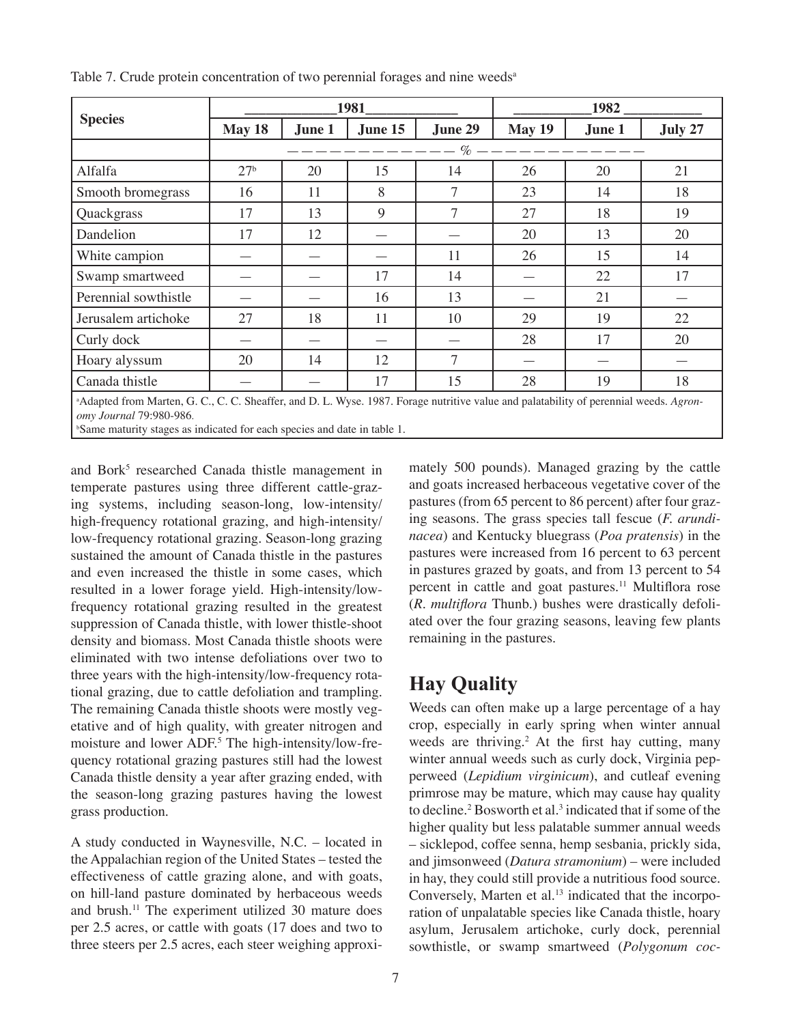|                                                                                                                                          |                 |        | 1981    | 1982           |        |        |    |
|------------------------------------------------------------------------------------------------------------------------------------------|-----------------|--------|---------|----------------|--------|--------|----|
| <b>Species</b>                                                                                                                           | May 18          | June 1 | June 15 | June 29        | May 19 | June 1 |    |
|                                                                                                                                          |                 |        |         | $---\%$ -      |        |        |    |
| Alfalfa                                                                                                                                  | 27 <sup>b</sup> | 20     | 15      | 14             | 26     | 20     | 21 |
| Smooth bromegrass                                                                                                                        | 16              | 11     | 8       | $\overline{7}$ | 23     | 14     | 18 |
| Quackgrass                                                                                                                               | 17              | 13     | 9       | 7              | 27     | 18     | 19 |
| Dandelion                                                                                                                                | 17              | 12     |         |                | 20     | 13     | 20 |
| White campion                                                                                                                            |                 |        |         | 11             | 26     | 15     | 14 |
| Swamp smartweed                                                                                                                          |                 |        | 17      | 14             |        | 22     | 17 |
| Perennial sowthistle                                                                                                                     |                 |        | 16      | 13             |        | 21     |    |
| Jerusalem artichoke                                                                                                                      | 27              | 18     | 11      | 10             | 29     | 19     | 22 |
| Curly dock                                                                                                                               |                 |        |         |                | 28     | 17     | 20 |
| Hoary alyssum                                                                                                                            | 20              | 14     | 12      | 7              |        |        |    |
| Canada thistle                                                                                                                           |                 |        | 17      | 15             | 28     | 19     | 18 |
| $\frac{1}{2}$ Adapted from Marten G.C.C.C. Sheaffer and D.I. Wyse 1987 Forsoe putritive value and palatability of perennial weeds Agron- |                 |        |         |                |        |        |    |

Table 7. Crude protein concentration of two perennial forages and nine weeds<sup>a</sup>

Wyse. 1987. Forage nutritive value and palatability of perennial *omy Journal* 79:980-986.

b Same maturity stages as indicated for each species and date in table 1.

and Bork<sup>5</sup> researched Canada thistle management in temperate pastures using three different cattle-grazing systems, including season-long, low-intensity/ high-frequency rotational grazing, and high-intensity/ low-frequency rotational grazing. Season-long grazing sustained the amount of Canada thistle in the pastures and even increased the thistle in some cases, which resulted in a lower forage yield. High-intensity/lowfrequency rotational grazing resulted in the greatest suppression of Canada thistle, with lower thistle-shoot density and biomass. Most Canada thistle shoots were eliminated with two intense defoliations over two to three years with the high-intensity/low-frequency rotational grazing, due to cattle defoliation and trampling. The remaining Canada thistle shoots were mostly vegetative and of high quality, with greater nitrogen and moisture and lower ADF.<sup>5</sup> The high-intensity/low-frequency rotational grazing pastures still had the lowest Canada thistle density a year after grazing ended, with the season-long grazing pastures having the lowest grass production.

A study conducted in Waynesville, N.C. – located in the Appalachian region of the United States – tested the effectiveness of cattle grazing alone, and with goats, on hill-land pasture dominated by herbaceous weeds and brush.<sup>11</sup> The experiment utilized 30 mature does per 2.5 acres, or cattle with goats (17 does and two to three steers per 2.5 acres, each steer weighing approximately 500 pounds). Managed grazing by the cattle and goats increased herbaceous vegetative cover of the pastures (from 65 percent to 86 percent) after four grazing seasons. The grass species tall fescue (*F. arundinacea*) and Kentucky bluegrass (*Poa pratensis*) in the pastures were increased from 16 percent to 63 percent in pastures grazed by goats, and from 13 percent to 54 percent in cattle and goat pastures.<sup>11</sup> Multiflora rose (*R. multiflora* Thunb.) bushes were drastically defoliated over the four grazing seasons, leaving few plants remaining in the pastures.

# **Hay Quality**

Weeds can often make up a large percentage of a hay crop, especially in early spring when winter annual weeds are thriving.<sup>2</sup> At the first hay cutting, many winter annual weeds such as curly dock, Virginia pepperweed (*Lepidium virginicum*), and cutleaf evening primrose may be mature, which may cause hay quality to decline.<sup>2</sup> Bosworth et al.<sup>3</sup> indicated that if some of the higher quality but less palatable summer annual weeds – sicklepod, coffee senna, hemp sesbania, prickly sida, and jimsonweed (*Datura stramonium*) – were included in hay, they could still provide a nutritious food source. Conversely, Marten et al.<sup>13</sup> indicated that the incorporation of unpalatable species like Canada thistle, hoary asylum, Jerusalem artichoke, curly dock, perennial sowthistle, or swamp smartweed (*Polygonum coc-*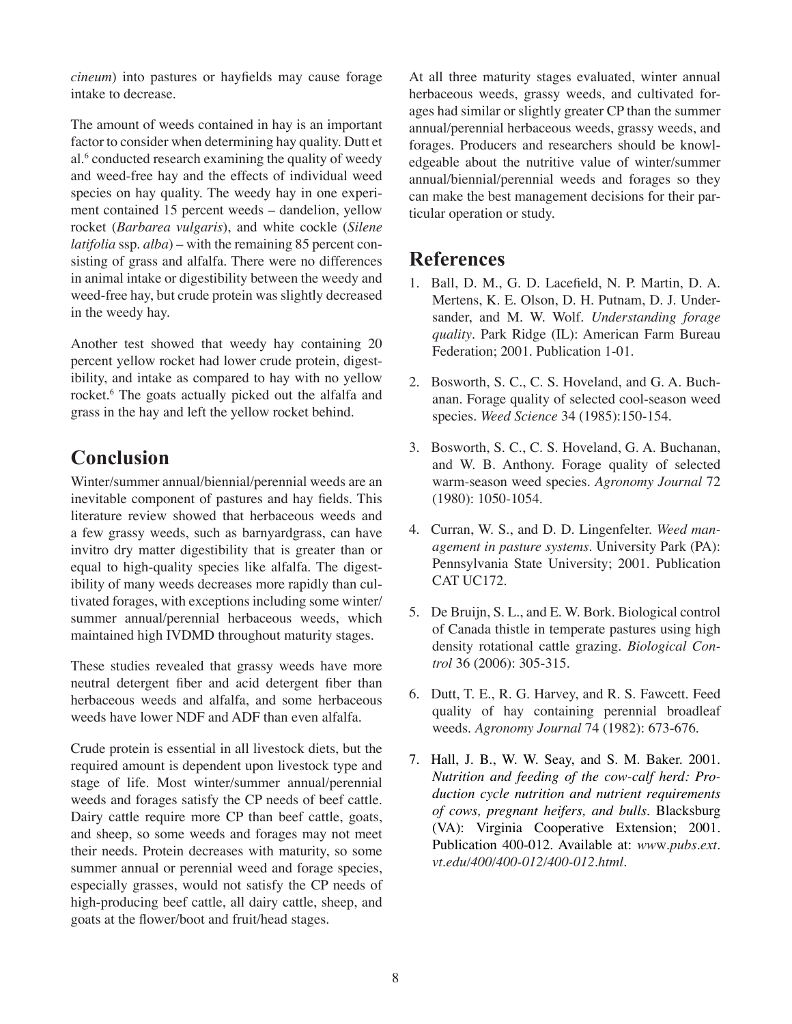*cineum*) into pastures or hayfields may cause forage intake to decrease.

The amount of weeds contained in hay is an important factor to consider when determining hay quality. Dutt et al.<sup>6</sup> conducted research examining the quality of weedy and weed-free hay and the effects of individual weed species on hay quality. The weedy hay in one experiment contained 15 percent weeds – dandelion, yellow rocket (*Barbarea vulgaris*), and white cockle (*Silene latifolia* ssp. *alba*) – with the remaining 85 percent consisting of grass and alfalfa. There were no differences in animal intake or digestibility between the weedy and weed-free hay, but crude protein was slightly decreased in the weedy hay.

Another test showed that weedy hay containing 20 percent yellow rocket had lower crude protein, digestibility, and intake as compared to hay with no yellow rocket.<sup>6</sup> The goats actually picked out the alfalfa and grass in the hay and left the yellow rocket behind.

# **Conclusion**

Winter/summer annual/biennial/perennial weeds are an inevitable component of pastures and hay fields. This literature review showed that herbaceous weeds and a few grassy weeds, such as barnyardgrass, can have invitro dry matter digestibility that is greater than or equal to high-quality species like alfalfa. The digestibility of many weeds decreases more rapidly than cultivated forages, with exceptions including some winter/ summer annual/perennial herbaceous weeds, which maintained high IVDMD throughout maturity stages.

These studies revealed that grassy weeds have more neutral detergent fiber and acid detergent fiber than herbaceous weeds and alfalfa, and some herbaceous weeds have lower NDF and ADF than even alfalfa.

Crude protein is essential in all livestock diets, but the required amount is dependent upon livestock type and stage of life. Most winter/summer annual/perennial weeds and forages satisfy the CP needs of beef cattle. Dairy cattle require more CP than beef cattle, goats, and sheep, so some weeds and forages may not meet their needs. Protein decreases with maturity, so some summer annual or perennial weed and forage species, especially grasses, would not satisfy the CP needs of high-producing beef cattle, all dairy cattle, sheep, and goats at the flower/boot and fruit/head stages.

At all three maturity stages evaluated, winter annual herbaceous weeds, grassy weeds, and cultivated forages had similar or slightly greater CP than the summer annual/perennial herbaceous weeds, grassy weeds, and forages. Producers and researchers should be knowledgeable about the nutritive value of winter/summer annual/biennial/perennial weeds and forages so they can make the best management decisions for their particular operation or study.

### **References**

- 1. Ball, D. M., G. D. Lacefield, N. P. Martin, D. A. Mertens, K. E. Olson, D. H. Putnam, D. J. Undersander, and M. W. Wolf. *Understanding forage quality*. Park Ridge (IL): American Farm Bureau Federation; 2001. Publication 1-01.
- 2. Bosworth, S. C., C. S. Hoveland, and G. A. Buchanan. Forage quality of selected cool-season weed species. *Weed Science* 34 (1985):150-154.
- 3. Bosworth, S. C., C. S. Hoveland, G. A. Buchanan, and W. B. Anthony. Forage quality of selected warm-season weed species. *Agronomy Journal* 72 (1980): 1050-1054.
- 4. Curran, W. S., and D. D. Lingenfelter. *Weed management in pasture systems*. University Park (PA): Pennsylvania State University; 2001. Publication CAT UC172.
- 5. De Bruijn, S. L., and E. W. Bork. Biological control of Canada thistle in temperate pastures using high density rotational cattle grazing. *Biological Control* 36 (2006): 305-315.
- 6. Dutt, T. E., R. G. Harvey, and R. S. Fawcett. Feed quality of hay containing perennial broadleaf weeds. *Agronomy Journal* 74 (1982): 673-676.
- 7. Hall, J. B., W. W. Seay, and S. M. Baker. 2001. *Nutrition and feeding of the cow-calf herd: Production cycle nutrition and nutrient requirements of cows, pregnant heifers, and bulls*. Blacksburg (VA): Virginia Cooperative Extension; 2001. Publication 400-012. Available at: *ww*w*.pubs.ext. vt.edu/400/400-012/400-012.html.*